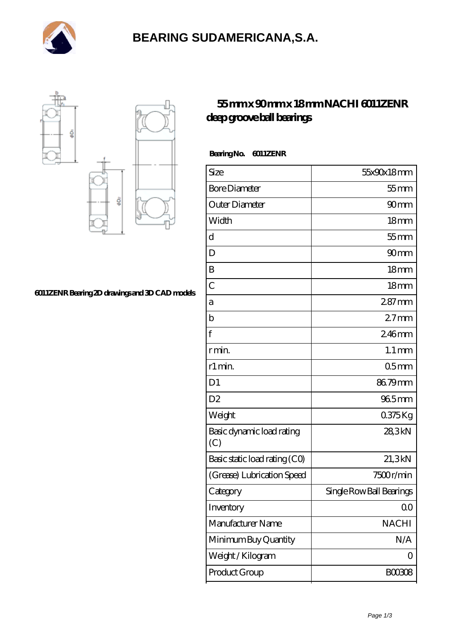

# **[BEARING SUDAMERICANA,S.A.](https://balticcareerdays.com)**



#### **[6011ZENR Bearing 2D drawings and 3D CAD models](https://balticcareerdays.com/pic-535040.html)**

### **[55 mm x 90 mm x 18 mm NACHI 6011ZENR](https://balticcareerdays.com/nachi-6011zenr-bearing/) [deep groove ball bearings](https://balticcareerdays.com/nachi-6011zenr-bearing/)**

| Bearing No. | 6011ZENR |
|-------------|----------|
|-------------|----------|

| Size                             | 55x90x18mm               |
|----------------------------------|--------------------------|
| <b>Bore Diameter</b>             | $55$ mm                  |
| Outer Diameter                   | 90 <sub>mm</sub>         |
| Width                            | 18 <sub>mm</sub>         |
| d                                | $55$ mm                  |
| D                                | 90 <sub>mm</sub>         |
| B                                | 18 <sub>mm</sub>         |
| $\overline{C}$                   | 18mm                     |
| а                                | $287$ mm                 |
| b                                | $27$ mm                  |
| $\mathbf f$                      | 246mm                    |
| rmin                             | $1.1 \,\mathrm{mm}$      |
| r1 min.                          | 05 <sub>mm</sub>         |
| D <sub>1</sub>                   | 86.79mm                  |
| D <sub>2</sub>                   | 965mm                    |
| Weight                           | 0375Kg                   |
| Basic dynamic load rating<br>(C) | 28,3kN                   |
| Basic static load rating (CO)    | 21,3kN                   |
| (Grease) Lubrication Speed       | 7500r/min                |
| Category                         | Single Row Ball Bearings |
| Inventory                        | 0 <sub>0</sub>           |
| Manufacturer Name                | <b>NACHI</b>             |
| Minimum Buy Quantity             | N/A                      |
| Weight / Kilogram                | 0                        |
| Product Group                    | BOO3O8                   |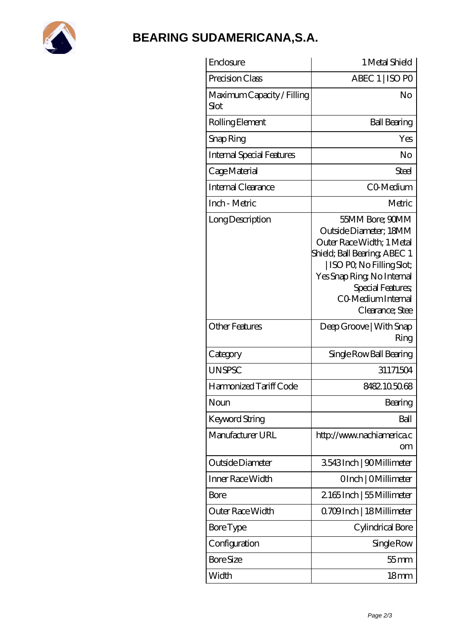

## **[BEARING SUDAMERICANA,S.A.](https://balticcareerdays.com)**

| Enclosure                          | 1 Metal Shield                                                                                                                                                                                                                |
|------------------------------------|-------------------------------------------------------------------------------------------------------------------------------------------------------------------------------------------------------------------------------|
| Precision Class                    | ABEC 1   ISO PO                                                                                                                                                                                                               |
| Maximum Capacity / Filling<br>Slot | No                                                                                                                                                                                                                            |
| Rolling Element                    | <b>Ball Bearing</b>                                                                                                                                                                                                           |
| Snap Ring                          | Yes                                                                                                                                                                                                                           |
| <b>Internal Special Features</b>   | No                                                                                                                                                                                                                            |
| Cage Material                      | Steel                                                                                                                                                                                                                         |
| Internal Clearance                 | CO-Medium                                                                                                                                                                                                                     |
| Inch - Metric                      | Metric                                                                                                                                                                                                                        |
| Long Description                   | 55MM Bore; 90MM<br>Outside Diameter; 18MM<br>Outer Race Width; 1 Metal<br>Shield; Ball Bearing; ABEC 1<br>ISO PQ No Filling Slot;<br>Yes Snap Ring, No Internal<br>Special Features,<br>CO Medium Internal<br>Clearance; Stee |
| <b>Other Features</b>              | Deep Groove   With Snap<br>Ring                                                                                                                                                                                               |
| Category                           | Single Row Ball Bearing                                                                                                                                                                                                       |
| UNSPSC                             | 31171504                                                                                                                                                                                                                      |
| Harmonized Tariff Code             | 8482105068                                                                                                                                                                                                                    |
| Noun                               | Bearing                                                                                                                                                                                                                       |
| <b>Keyword String</b>              | Ball                                                                                                                                                                                                                          |
| Manufacturer URL                   | http://www.nachiamerica.c<br>om                                                                                                                                                                                               |
| Outside Diameter                   | 3543Inch   90Millimeter                                                                                                                                                                                                       |
| Inner Race Width                   | OInch   OMillimeter                                                                                                                                                                                                           |
| Bore                               | 2165Inch   55 Millimeter                                                                                                                                                                                                      |
| Outer Race Width                   | Q709Inch   18Millimeter                                                                                                                                                                                                       |
| <b>Bore Type</b>                   | Cylindrical Bore                                                                                                                                                                                                              |
| Configuration                      | Single Row                                                                                                                                                                                                                    |
| <b>Bore Size</b>                   | $55$ mm                                                                                                                                                                                                                       |
| Width                              | 18 <sub>mm</sub>                                                                                                                                                                                                              |